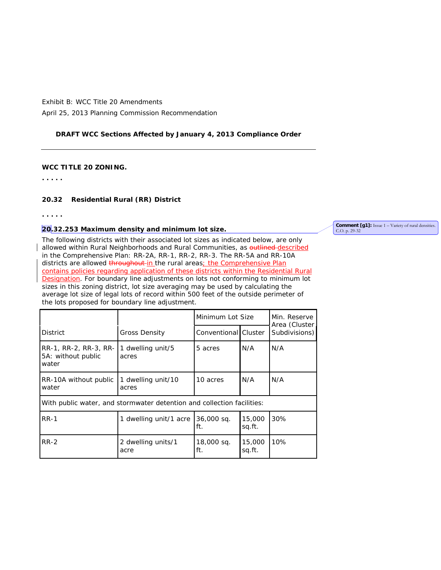### **DRAFT WCC Sections Affected by January 4, 2013 Compliance Order**

### **WCC TITLE 20 ZONING.**

**. . . . .**

### **[20.32](http://srch.mrsc.org:8080/code/DocView/whatcommcmmm/Whatco20/Whatco2032.html%2320.32) Residential Rural (RR) District**

**. . . . .**

### **20.32.253 Maximum density and minimum lot size.**

The following districts with their associated lot sizes as indicated below, are only allowed within Rural Neighborhoods and Rural Communities, as **outlined-described** in the Comprehensive Plan: RR-2A, RR-1, RR-2, RR-3. The RR-5A and RR-10A districts are allowed throughout in the rural areas; the Comprehensive Plan contains policies regarding application of these districts within the Residential Rural Designation. For boundary line adjustments on lots not conforming to minimum lot sizes in this zoning district, lot size averaging may be used by calculating the average lot size of legal lots of record within 500 feet of the outside perimeter of the lots proposed for boundary line adjustment.

|                                                                        |                            | Minimum Lot Size  |                      | Min. Reserve<br>Area (Cluster<br>Subdivisions) |  |  |  |
|------------------------------------------------------------------------|----------------------------|-------------------|----------------------|------------------------------------------------|--|--|--|
| <b>District</b>                                                        | <b>Gross Density</b>       |                   | Conventional Cluster |                                                |  |  |  |
| RR-1, RR-2, RR-3, RR-<br>5A: without public<br>water                   | 1 dwelling unit/5<br>acres | 5 acres           | N/A                  | N/A                                            |  |  |  |
| 1 dwelling unit/10<br>RR-10A without public<br>water<br>acres          |                            | 10 acres          | N/A                  | N/A                                            |  |  |  |
| With public water, and stormwater detention and collection facilities: |                            |                   |                      |                                                |  |  |  |
| <b>RR-1</b>                                                            | 1 dwelling unit/1 acre     |                   | 15,000<br>sq.ft.     | 30%                                            |  |  |  |
| $RR-2$<br>2 dwelling units/1<br>acre                                   |                            | 18,000 sq.<br>ft. | 15,000<br>sq.ft.     | 10%                                            |  |  |  |

#### **Comment [g1]:** Issue 1 – Variety of rural densities. C.O. p. 29-32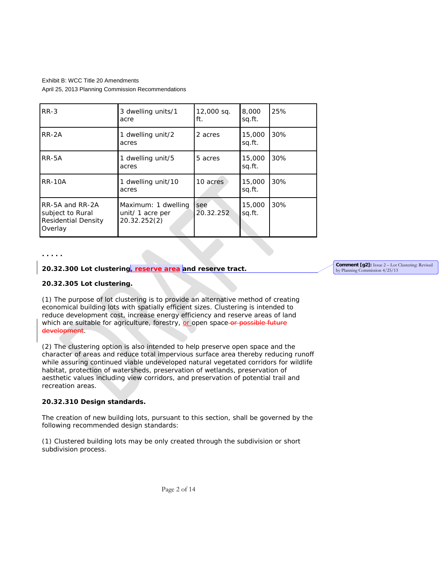| $RR-3$                                                                       | 3 dwelling units/1                                      | 12,000 sq.       | 8,000            | 25% |
|------------------------------------------------------------------------------|---------------------------------------------------------|------------------|------------------|-----|
|                                                                              | acre                                                    | ft.              | sq.ft.           |     |
| RR-2A                                                                        | 1 dwelling unit/2<br>acres                              | 2 acres          | 15,000<br>sq.ft. | 30% |
| RR-5A                                                                        | 1 dwelling unit/5<br>acres                              | 5 acres          | 15,000<br>sq.ft. | 30% |
| <b>RR-10A</b>                                                                | 1 dwelling unit/10<br>acres                             | 10 acres         | 15,000<br>sq.ft. | 30% |
| RR-5A and RR-2A<br>subject to Rural<br><b>Residential Density</b><br>Overlay | Maximum: 1 dwelling<br>unit/ 1 acre per<br>20.32.252(2) | see<br>20.32.252 | 15,000<br>sq.ft. | 30% |

**. . . . .**

#### **20.32.300 Lot clustering, reserve area and reserve tract.**

### **20.32.305 Lot clustering.**

(1) The purpose of lot clustering is to provide an alternative method of creating economical building lots with spatially efficient sizes. Clustering is intended to reduce development cost, increase energy efficiency and reserve areas of land which are suitable for agriculture, forestry, or open space-or possible future development.

(2) The clustering option is also intended to help preserve open space and the character of areas and reduce total impervious surface area thereby reducing runoff while assuring continued viable undeveloped natural vegetated corridors for wildlife habitat, protection of watersheds, preservation of wetlands, preservation of aesthetic values including view corridors, and preservation of potential trail and recreation areas.

#### **20.32.310 Design standards.**

The creation of new building lots, pursuant to this section, shall be governed by the following recommended design standards:

(1) Clustered building lots may be only created through the subdivision or short subdivision process.

**Comment [g2]:** Issue 2 – Lot Clustering: Revised by Planning Commission 4/25/13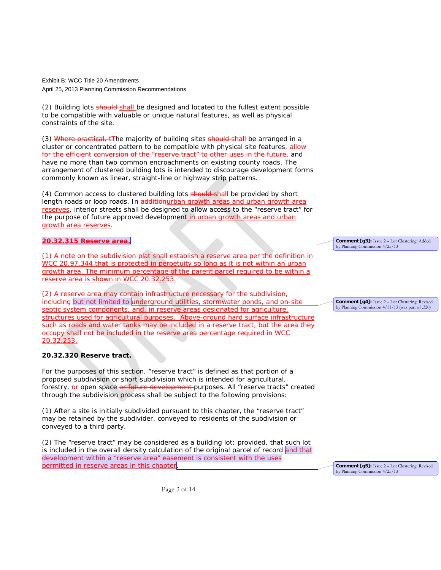(2) Building lots should shall be designed and located to the fullest extent possible to be compatible with valuable or unique natural features, as well as physical constraints of the site.

(3) Where practical,  $tI$ he majority of building sites should-shall be arranged in a cluster or concentrated pattern to be compatible with physical site features, allow for the efficient conversion of the "reserve tract" to other uses in the future, and have no more than two common encroachments on existing county roads. The arrangement of clustered building lots is intended to discourage development forms commonly known as linear, straight-line or highway strip patterns.

(4) Common access to clustered building lots should shall be provided by short length roads or loop roads. In additionurban growth areas and urban growth area reserves, interior streets shall be designed to allow access to the "reserve tract" for the purpose of future approved development in urban growth areas and urban growth area reserves.

### **20.32.315 Reserve area.**

(1) A note on the subdivision plat shall establish a reserve area per the definition in WCC 20.97.344 that is protected in perpetuity so long as it is not within an urban growth area. The minimum percentage of the parent parcel required to be within a reserve area is shown in WCC 20.32.253.

(2) A reserve area may contain infrastructure necessary for the subdivision, including but not limited to underground utilities, stormwater ponds, and on-site septic system components, and, in reserve areas designated for agriculture, structures used for agricultural purposes. Above-ground hard surface infrastructure such as roads and water tanks may be included in a reserve tract, but the area they occupy shall not be included in the reserve area percentage required in WCC 20.32.253.

# **20.32.320 Reserve tract.**

For the purposes of this section, "reserve tract" is defined as that portion of a proposed subdivision or short subdivision which is intended for agricultural, forestry, or open space or future development purposes. All "reserve tracts" created through the subdivision process shall be subject to the following provisions:

(1) After a site is initially subdivided pursuant to this chapter, the "reserve tract" may be retained by the subdivider, conveyed to residents of the subdivision or conveyed to a third party.

(2) The "reserve tract" may be considered as a building lot; provided, that such lot is included in the overall density calculation of the original parcel of record and that development within a "reserve area" easement is consistent with the uses permitted in reserve areas in this chapter.

**Comment [g3]:** Issue 2 – Lot Clustering: Added by Planning Commission 4/25/13

**Comment [g4]:** Issue 2 – Lot Clustering: Revised by Planning Commission 4/11/13 (was part of .320)

**Comment [g5]:** Issue 2 – Lot Clustering: Revised by Planning Commission 4/25/13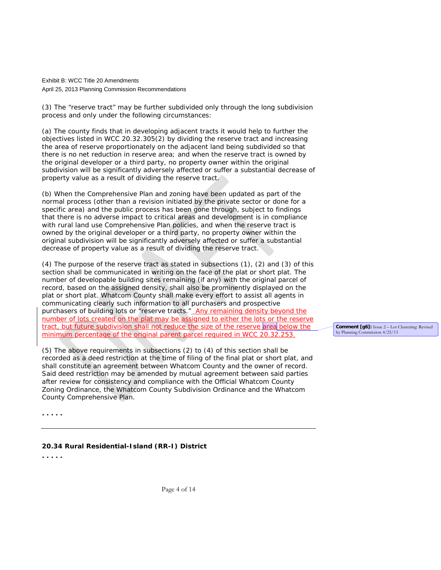(3) The "reserve tract" may be further subdivided only through the long subdivision process and only under the following circumstances:

(a) The county finds that in developing adjacent tracts it would help to further the objectives listed in WCC 20.32.305(2) by dividing the reserve tract and increasing the area of reserve proportionately on the adjacent land being subdivided so that there is no net reduction in reserve area; and when the reserve tract is owned by the original developer or a third party, no property owner within the original subdivision will be significantly adversely affected or suffer a substantial decrease of property value as a result of dividing the reserve tract.

(b) When the Comprehensive Plan and zoning have been updated as part of the normal process (other than a revision initiated by the private sector or done for a specific area) and the public process has been gone through, subject to findings that there is no adverse impact to critical areas and development is in compliance with rural land use Comprehensive Plan policies, and when the reserve tract is owned by the original developer or a third party, no property owner within the original subdivision will be significantly adversely affected or suffer a substantial decrease of property value as a result of dividing the reserve tract.

(4) The purpose of the reserve tract as stated in subsections (1), (2) and (3) of this section shall be communicated in writing on the face of the plat or short plat. The number of developable building sites remaining (if any) with the original parcel of record, based on the assigned density, shall also be prominently displayed on the plat or short plat. Whatcom County shall make every effort to assist all agents in communicating clearly such information to all purchasers and prospective purchasers of building lots or "reserve tracts." Any remaining density beyond the number of lots created on the plat may be assigned to either the lots or the reserve tract, but future subdivision shall not reduce the size of the reserve area below the minimum percentage of the original parent parcel required in WCC 20.32.253.

(5) The above requirements in subsections (2) to (4) of this section shall be recorded as a deed restriction at the time of filing of the final plat or short plat, and shall constitute an agreement between Whatcom County and the owner of record. Said deed restriction may be amended by mutual agreement between said parties after review for consistency and compliance with the Official Whatcom County Zoning Ordinance, the Whatcom County Subdivision Ordinance and the Whatcom County Comprehensive Plan.

**Comment [g6]:** Issue 2 – Lot Clustering: Revised by Planning Commission 4/25/13

**. . . . .**

**[20.34](http://srch.mrsc.org:8080/code/DocView/whatcommcmmm/Whatco20/Whatco2036.html%2320.36) Rural Residential-Island (RR-I) District**

**. . . . .** 

Page 4 of 14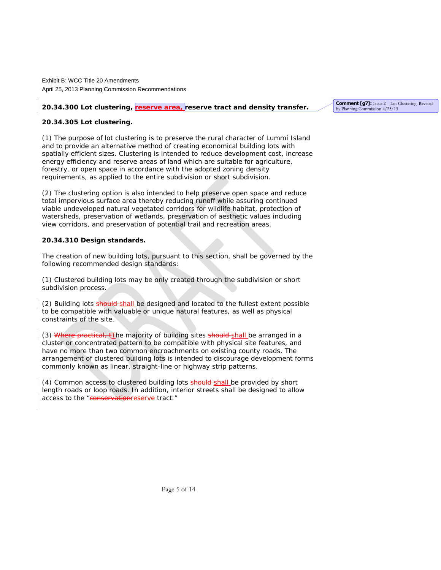### 20.34.300 Lot clustering, reserve area, reserve tract and density transfer.

**Comment [g7]:** Issue 2 – Lot Clustering: Revised by Planning Commission 4/25/13

### **20.34.305 Lot clustering.**

(1) The purpose of lot clustering is to preserve the rural character of Lummi Island and to provide an alternative method of creating economical building lots with spatially efficient sizes. Clustering is intended to reduce development cost, increase energy efficiency and reserve areas of land which are suitable for agriculture, forestry, or open space in accordance with the adopted zoning density requirements, as applied to the entire subdivision or short subdivision.

(2) The clustering option is also intended to help preserve open space and reduce total impervious surface area thereby reducing runoff while assuring continued viable undeveloped natural vegetated corridors for wildlife habitat, protection of watersheds, preservation of wetlands, preservation of aesthetic values including view corridors, and preservation of potential trail and recreation areas.

#### **20.34.310 Design standards.**

The creation of new building lots, pursuant to this section, shall be governed by the following recommended design standards:

(1) Clustered building lots may be only created through the subdivision or short subdivision process.

(2) Building lots should shall be designed and located to the fullest extent possible to be compatible with valuable or unique natural features, as well as physical constraints of the site.

(3) Where practical,  $tI$ he majority of building sites should shall be arranged in a cluster or concentrated pattern to be compatible with physical site features, and have no more than two common encroachments on existing county roads. The arrangement of clustered building lots is intended to discourage development forms commonly known as linear, straight-line or highway strip patterns.

(4) Common access to clustered building lots should shall be provided by short length roads or loop roads. In addition, interior streets shall be designed to allow access to the "conservationreserve tract."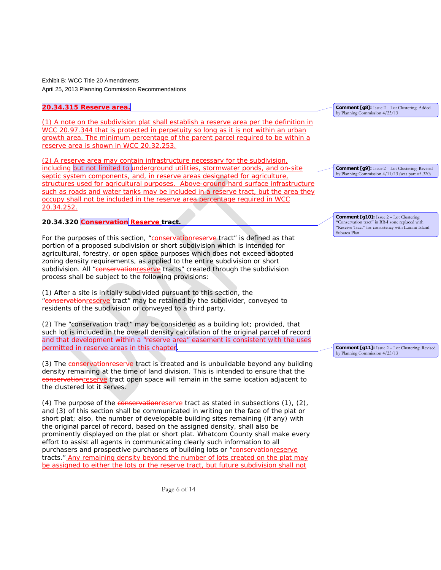### **20.34.315 Reserve area.**

(1) A note on the subdivision plat shall establish a reserve area per the definition in WCC 20.97.344 that is protected in perpetuity so long as it is not within an urban growth area. The minimum percentage of the parent parcel required to be within a reserve area is shown in WCC 20.32.253.

(2) A reserve area may contain infrastructure necessary for the subdivision, including but not limited to underground utilities, stormwater ponds, and on-site septic system components, and, in reserve areas designated for agriculture, structures used for agricultural purposes. Above-ground hard surface infrastructure such as roads and water tanks may be included in a reserve tract, but the area they occupy shall not be included in the reserve area percentage required in WCC 20.34.252.

**20.34.320 Conservation Reserve tract.**

For the purposes of this section, "conservationreserve tract" is defined as that portion of a proposed subdivision or short subdivision which is intended for agricultural, forestry, or open space purposes which does not exceed adopted zoning density requirements, as applied to the entire subdivision or short subdivision. All "conservationreserve tracts" created through the subdivision process shall be subject to the following provisions:

(1) After a site is initially subdivided pursuant to this section, the "conservationreserve tract" may be retained by the subdivider, conveyed to residents of the subdivision or conveyed to a third party.

(2) The "conservation tract" may be considered as a building lot; provided, that such lot is included in the overall density calculation of the original parcel of record and that development within a "reserve area" easement is consistent with the uses permitted in reserve areas in this chapter.

(3) The conservationreserve tract is created and is unbuildable beyond any building density remaining at the time of land division. This is intended to ensure that the conservationreserve tract open space will remain in the same location adjacent to the clustered lot it serves.

(4) The purpose of the **conservation** reserve tract as stated in subsections  $(1)$ ,  $(2)$ , and (3) of this section shall be communicated in writing on the face of the plat or short plat; also, the number of developable building sites remaining (if any) with the original parcel of record, based on the assigned density, shall also be prominently displayed on the plat or short plat. Whatcom County shall make every effort to assist all agents in communicating clearly such information to all purchasers and prospective purchasers of building lots or "conservationreserve tracts." Any remaining density beyond the number of lots created on the plat may be assigned to either the lots or the reserve tract, but future subdivision shall not

**Comment [g8]:** Issue 2 – Lot Clustering: Added by Planning Commission 4/25/13

**Comment [g9]:** Issue 2 – Lot Clustering: Revised by Planning Commission 4/11/13 (was part of .320)

**Comment [g10]:** Issue 2 – Lot Clustering: 'Conservation tract" in RR-I zone replaced with "Reserve Tract" for consistency with Lummi Island Subarea Plan

**Comment [g11]:** Issue 2 – Lot Clustering: Revised by Planning Commission 4/25/13

Page 6 of 14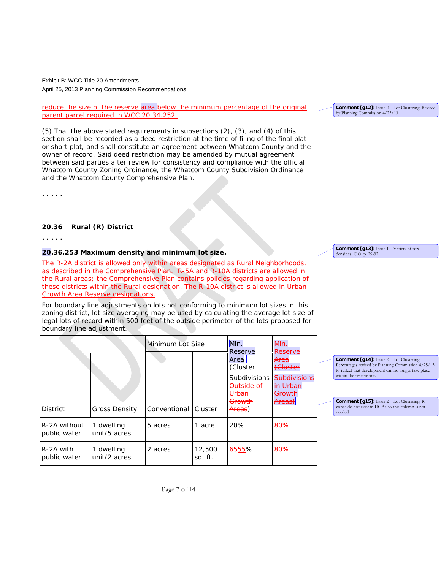reduce the size of the reserve area below the minimum percentage of the original parent parcel required in WCC 20.34.252.

(5) That the above stated requirements in subsections (2), (3), and (4) of this section shall be recorded as a deed restriction at the time of filing of the final plat or short plat, and shall constitute an agreement between Whatcom County and the owner of record. Said deed restriction may be amended by mutual agreement between said parties after review for consistency and compliance with the official Whatcom County Zoning Ordinance, the Whatcom County Subdivision Ordinance and the Whatcom County Comprehensive Plan.

**. . . . .** 

### **[20.36](http://srch.mrsc.org:8080/code/DocView/whatcommcmmm/Whatco20/Whatco2036.html%2320.36) Rural (R) District**

**. . . . .**

# **20.36.253 Maximum density and minimum lot size.**

The R-2A district is allowed only within areas designated as Rural Neighborhoods, as described in the Comprehensive Plan. R-5A and R-10A districts are allowed in the Rural areas; the Comprehensive Plan contains policies regarding application of these districts within the Rural designation. The R-10A district is allowed in Urban Growth Area Reserve designations.

For boundary line adjustments on lots not conforming to minimum lot sizes in this zoning district, lot size averaging may be used by calculating the average lot size of legal lots of record within 500 feet of the outside perimeter of the lots proposed for boundary line adjustment.

|                              |                            | Minimum Lot Size     |                   | Min.<br>Reserve                                                                    | Min.<br>Reserve                                                         |                                                                                                                                                                                                                                                                                                             |
|------------------------------|----------------------------|----------------------|-------------------|------------------------------------------------------------------------------------|-------------------------------------------------------------------------|-------------------------------------------------------------------------------------------------------------------------------------------------------------------------------------------------------------------------------------------------------------------------------------------------------------|
| <b>District</b>              | <b>Gross Density</b>       | Conventional Cluster |                   | Area<br>(Cluster<br><b>Subdivisions</b><br>Outside of<br>Urban<br>Growth<br>Areas) | Area<br>(Cluster<br><b>Subdivisions</b><br>in Urban<br>Growth<br>Areas) | <b>Comment [g14]:</b> Issue 2 – Lot Clustering:<br>Percentages revised by Planning Commission 4/25/13<br>to reflect that development can no longer take place<br>within the reserve area<br><b>Comment [g15]:</b> Issue 2 - Lot Clustering: R<br>zones do not exist in UGAs so this column is not<br>needed |
| R-2A without<br>public water | 1 dwelling<br>unit/5 acres | 5 acres              | acre              | 20%                                                                                | 80%                                                                     |                                                                                                                                                                                                                                                                                                             |
| R-2A with<br>public water    | 1 dwelling<br>unit/2 acres | 2 acres              | 12,500<br>sq. ft. | <del>65</del> 55%                                                                  | 80%                                                                     |                                                                                                                                                                                                                                                                                                             |

**Comment [g13]:** Issue 1 – Variety of rural densities. C.O. p. 29-32

**Comment [g12]:** Issue 2 – Lot Clustering: Revised by Planning Commission 4/25/13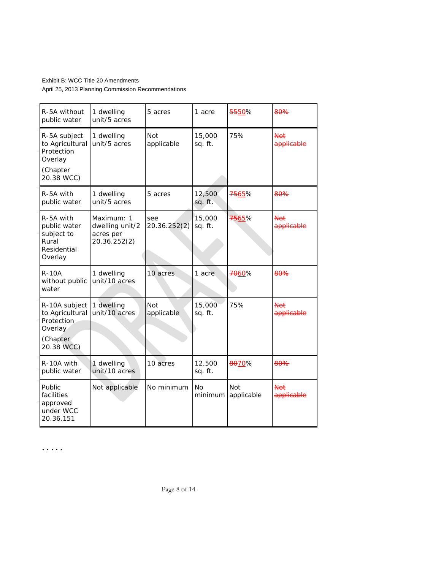| R-5A without<br>public water                                                        | 1 dwelling<br>unit/5 acres                                 | 5 acres                  | 1 acre            | 5550%                    | <del>80%</del>           |
|-------------------------------------------------------------------------------------|------------------------------------------------------------|--------------------------|-------------------|--------------------------|--------------------------|
| R-5A subject<br>to Agricultural<br>Protection<br>Overlay<br>(Chapter<br>20.38 WCC)  | 1 dwelling<br>unit/5 acres                                 | <b>Not</b><br>applicable | 15,000<br>sq. ft. | 75%                      | Not<br>applicable        |
| R-5A with<br>public water                                                           | 1 dwelling<br>unit/5 acres                                 | 5 acres                  | 12,500<br>sq. ft. | <del>75</del> 65%        | <del>80%</del>           |
| R-5A with<br>public water<br>subject to<br>Rural<br>Residential<br>Overlay          | Maximum: 1<br>dwelling unit/2<br>acres per<br>20.36.252(2) | see<br>20.36.252(2)      | 15,000<br>sq. ft. | 7565%                    | <b>Not</b><br>applicable |
| <b>R-10A</b><br>without public<br>water                                             | 1 dwelling<br>unit/10 acres                                | 10 acres                 | 1 acre            | <del>70</del> 60%        | 80%                      |
| R-10A subject<br>to Agricultural<br>Protection<br>Overlay<br>(Chapter<br>20.38 WCC) | 1 dwelling<br>unit/10 acres                                | Not<br>applicable        | 15,000<br>sq. ft. | 75%                      | Not<br>applicable        |
| R-10A with<br>public water                                                          | 1 dwelling<br>unit/10 acres                                | 10 acres                 | 12,500<br>sq. ft. | 8070%                    | <del>80%</del>           |
| Public<br>facilities<br>approved<br>under WCC<br>20.36.151                          | Not applicable                                             | No minimum               | No<br>minimum     | <b>Not</b><br>applicable | Not<br>applicable        |

**. . . . .**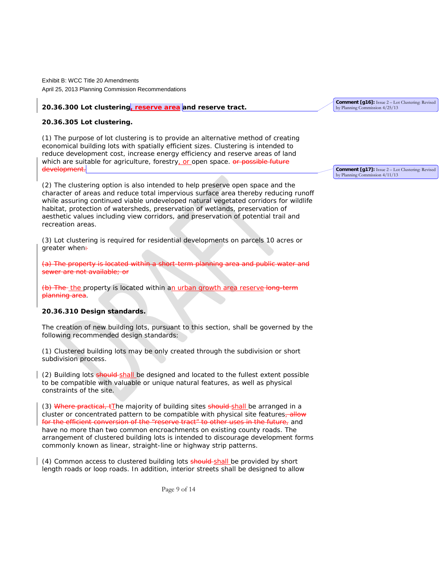### **20.36.300 Lot clustering, reserve area and reserve tract.**

#### **20.36.305 Lot clustering.**

(1) The purpose of lot clustering is to provide an alternative method of creating economical building lots with spatially efficient sizes. Clustering is intended to reduce development cost, increase energy efficiency and reserve areas of land which are suitable for agriculture, forestry, or open space. or possible future development.

(2) The clustering option is also intended to help preserve open space and the character of areas and reduce total impervious surface area thereby reducing runoff while assuring continued viable undeveloped natural vegetated corridors for wildlife habitat, protection of watersheds, preservation of wetlands, preservation of aesthetic values including view corridors, and preservation of potential trail and recreation areas.

(3) Lot clustering is required for residential developments on parcels 10 acres or greater when:

(a) The property is located within a short-term planning area and public water and sewer are not available; or

(b) The the property is located within an urban growth area reserve long-term planning area.

#### **20.36.310 Design standards.**

The creation of new building lots, pursuant to this section, shall be governed by the following recommended design standards:

(1) Clustered building lots may be only created through the subdivision or short subdivision process.

(2) Building lots should shall be designed and located to the fullest extent possible to be compatible with valuable or unique natural features, as well as physical constraints of the site.

(3) Where practical, tThe majority of building sites should-shall be arranged in a cluster or concentrated pattern to be compatible with physical site features<sub></sub>, allow for the efficient conversion of the "reserve tract" to other uses in the future, and have no more than two common encroachments on existing county roads. The arrangement of clustered building lots is intended to discourage development forms commonly known as linear, straight-line or highway strip patterns.

(4) Common access to clustered building lots should shall be provided by short length roads or loop roads. In addition, interior streets shall be designed to allow

Page 9 of 14

**Comment [g16]:** Issue 2 – Lot Clustering: Revised by Planning Commission 4/25/13

**Comment [g17]:** Issue 2 – Lot Clustering: Revised by Planning Commission 4/11/13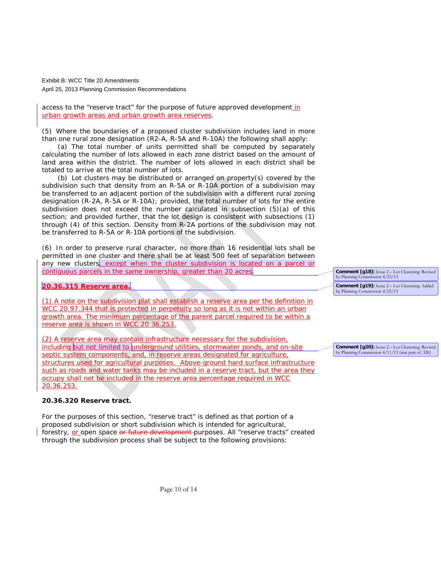access to the "reserve tract" for the purpose of future approved development in urban growth areas and urban growth area reserves.

(5) Where the boundaries of a proposed cluster subdivision includes land in more than one rural zone designation (R2-A, R-5A and R-10A) the following shall apply:

(a) The total number of units permitted shall be computed by separately calculating the number of lots allowed in each zone district based on the amount of land area within the district. The number of lots allowed in each district shall be totaled to arrive at the total number of lots.

(b) Lot clusters may be distributed or arranged on property(s) covered by the subdivision such that density from an R-5A or R-10A portion of a subdivision may be transferred to an adjacent portion of the subdivision with a different rural zoning designation (R-2A, R-5A or R-10A); provided, the total number of lots for the entire subdivision does not exceed the number calculated in subsection (5)(a) of this section; and provided further, that the lot design is consistent with subsections (1) through (4) of this section. Density from R-2A portions of the subdivision may not be transferred to R-5A or R-10A portions of the subdivision.

(6) In order to preserve rural character, no more than 16 residential lots shall be permitted in one cluster and there shall be at least 500 feet of separation between any new clusters, except when the cluster subdivision is located on a parcel or contiguous parcels in the same ownership, greater than 20 acres.

#### **20.36.315 Reserve area.**

(1) A note on the subdivision plat shall establish a reserve area per the definition in WCC 20.97.344 that is protected in perpetuity so long as it is not within an urban growth area. The minimum percentage of the parent parcel required to be within a reserve area is shown in WCC 20.36.253.

(2) A reserve area may contain infrastructure necessary for the subdivision, including but not limited to underground utilities, stormwater ponds, and on-site septic system components, and, in reserve areas designated for agriculture, structures used for agricultural purposes. Above-ground hard surface infrastructure such as roads and water tanks may be included in a reserve tract, but the area they occupy shall not be included in the reserve area percentage required in WCC 20.36.253.

#### **20.36.320 Reserve tract.**

For the purposes of this section, "reserve tract" is defined as that portion of a proposed subdivision or short subdivision which is intended for agricultural, forestry, or open space or future development purposes. All "reserve tracts" created through the subdivision process shall be subject to the following provisions:

**Comment [g18]:** Issue 2 – Lot Clustering: Revised by Planning Commission 4/25/13 **Comment [g19]:** Issue 2 – Lot Clustering: Added by Planning Commission 4/25/13

**Comment [g20]:** Issue 2 – Lot Clustering: Revised by Planning Commission 4/11/13 (was part of .320)

Page 10 of 14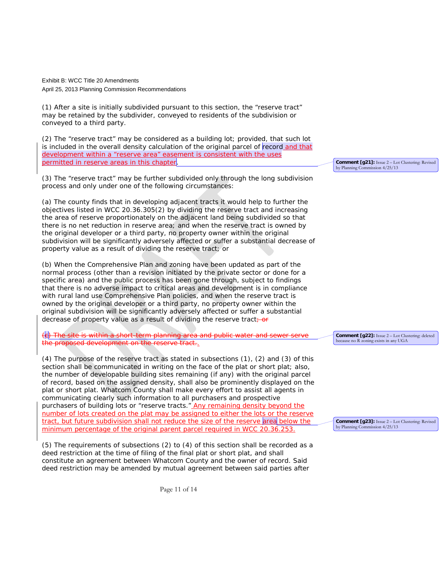(1) After a site is initially subdivided pursuant to this section, the "reserve tract" may be retained by the subdivider, conveyed to residents of the subdivision or conveyed to a third party.

(2) The "reserve tract" may be considered as a building lot; provided, that such lot is included in the overall density calculation of the original parcel of record and that development within a "reserve area" easement is consistent with the uses permitted in reserve areas in this chapter

(3) The "reserve tract" may be further subdivided only through the long subdivision process and only under one of the following circumstances:

(a) The county finds that in developing adjacent tracts it would help to further the objectives listed in WCC 20.36.305(2) by dividing the reserve tract and increasing the area of reserve proportionately on the adjacent land being subdivided so that there is no net reduction in reserve area; and when the reserve tract is owned by the original developer or a third party, no property owner within the original subdivision will be significantly adversely affected or suffer a substantial decrease of property value as a result of dividing the reserve tract; or

(b) When the Comprehensive Plan and zoning have been updated as part of the normal process (other than a revision initiated by the private sector or done for a specific area) and the public process has been gone through, subject to findings that there is no adverse impact to critical areas and development is in compliance with rural land use Comprehensive Plan policies, and when the reserve tract is owned by the original developer or a third party, no property owner within the original subdivision will be significantly adversely affected or suffer a substantial decrease of property value as a result of dividing the reserve tract  $\frac{1}{10}$ 

(c) The site is within a short-term planning area and public water and sewer serve welopment on the

(4) The purpose of the reserve tract as stated in subsections (1), (2) and (3) of this section shall be communicated in writing on the face of the plat or short plat; also, the number of developable building sites remaining (if any) with the original parcel of record, based on the assigned density, shall also be prominently displayed on the plat or short plat. Whatcom County shall make every effort to assist all agents in communicating clearly such information to all purchasers and prospective purchasers of building lots or "reserve tracts." Any remaining density beyond the number of lots created on the plat may be assigned to either the lots or the reserve tract, but future subdivision shall not reduce the size of the reserve area below the minimum percentage of the original parent parcel required in WCC 20.36.253.

(5) The requirements of subsections (2) to (4) of this section shall be recorded as a deed restriction at the time of filing of the final plat or short plat, and shall constitute an agreement between Whatcom County and the owner of record. Said deed restriction may be amended by mutual agreement between said parties after

**Comment [g21]:** Issue 2 – Lot Clustering: Revised by Planning Commission 4/25/13

**Comment [g22]:** Issue 2 – Lot Clustering: deleted because no R zoning exists in any UGA

**Comment [g23]:** Issue 2 – Lot Clustering: Revised by Planning Commission 4/25/13

Page 11 of 14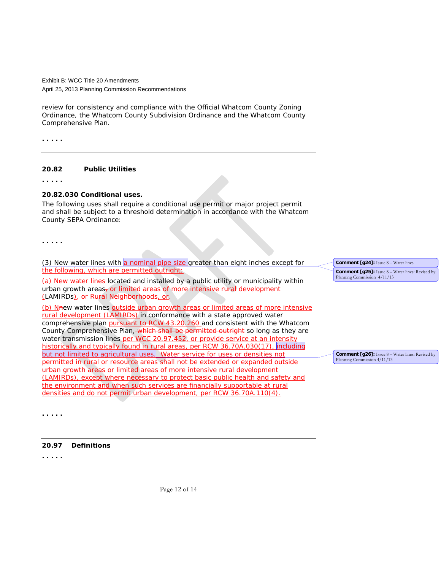review for consistency and compliance with the Official Whatcom County Zoning Ordinance, the Whatcom County Subdivision Ordinance and the Whatcom County Comprehensive Plan.

**. . . . .**

#### **20.82 Public Utilities**

**. . . . .**

### **20.82.030 Conditional uses.**

The following uses shall require a conditional use permit or major project permit and shall be subject to a threshold determination in accordance with the Whatcom County SEPA Ordinance:

**. . . . .**

 $(3)$  New water lines with a nominal pipe size greater than eight inches except for the following, which are permitted outright:

(a) New water lines located and installed by a public utility or municipality within urban growth areas<sub>7</sub> or limited areas of more intensive rural development (LAMIRDs), or Rural Neighborhoods, or-

(b) New water lines outside urban growth areas or limited areas of more intensive rural development (LAMIRDs) in conformance with a state approved water comprehensive plan pursuant to RCW 43.20.260 and consistent with the Whatcom County Comprehensive Plan, which shall be permitted outright so long as they are water transmission lines per WCC 20.97.452, or provide service at an intensity historically and typically found in rural areas, per RCW 36.70A.030(17), including but not limited to agricultural uses. Water service for uses or densities not permitted in rural or resource areas shall not be extended or expanded outside urban growth areas or limited areas of more intensive rural development (LAMIRDs), except where necessary to protect basic public health and safety and the environment and when such services are financially supportable at rural densities and do not permit urban development, per RCW 36.70A.110(4).

**Comment [g24]:** Issue 8 – Water lines **Comment [g25]:** Issue 8 – Water lines: Revised by Planning Commission 4/11/13

**Comment [g26]:** Issue 8 – Water lines: Revised by Planning Commission  $4/11/13$ 

**[20.97](http://srch.mrsc.org:8080/code/DocView/whatcommcmmm/Whatco20/Whatco2097.html%2320.97) Definitions**

**. . . . .**

**. . . . .**

Page 12 of 14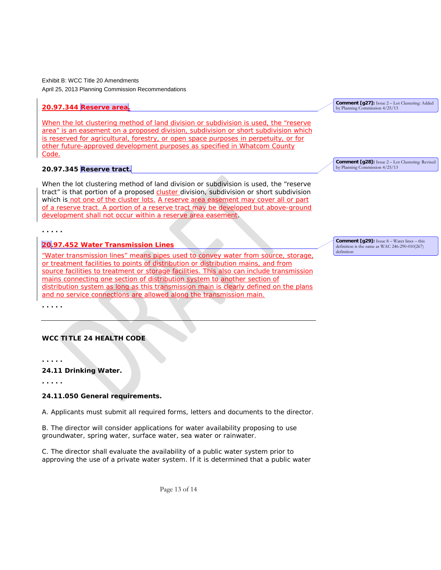# **20.97.344 Reserve area.**

When the lot clustering method of land division or subdivision is used, the "reserve area" is an easement on a proposed division, subdivision or short subdivision which is reserved for agricultural, forestry, or open space purposes in perpetuity, or for other future-approved development purposes as specified in Whatcom County Code.

### **20.97.345 Reserve tract.**

When the lot clustering method of land division or subdivision is used, the "reserve tract" is that portion of a proposed cluster division, subdivision or short subdivision which is not one of the cluster lots. A reserve area easement may cover all or part of a reserve tract. A portion of a reserve tract may be developed but above-ground development shall not occur within a reserve area easement.

**. . . . .**

### **20.97.452 Water Transmission Lines**

"Water transmission lines" means pipes used to convey water from source, storage, or treatment facilities to points of distribution or distribution mains, and from source facilities to treatment or storage facilities. This also can include transmission mains connecting one section of distribution system to another section of distribution system as long as this transmission main is clearly defined on the plans and no service connections are allowed along the transmission main.

**. . . . .**

### **WCC TITLE 24 HEALTH CODE**

**. . . . .**

#### **24.11 Drinking Water.**

**. . . . .**

#### **24.11.050 General requirements.**

A. Applicants must submit all required forms, letters and documents to the director.

B. The director will consider applications for water availability proposing to use groundwater, spring water, surface water, sea water or rainwater.

C. The director shall evaluate the availability of a public water system prior to approving the use of a private water system. If it is determined that a public water

Page 13 of 14

**Comment [g27]:** Issue 2 – Lot Clustering: Added by Planning Commission 4/25/13

**Comment [g28]:** Issue 2 – Lot Clustering: Revised by Planning Commission 4/25/13

**Comment [g29]:** Issue 8 – Water lines – this definition is the same as WAC 246-290-010(267) definition